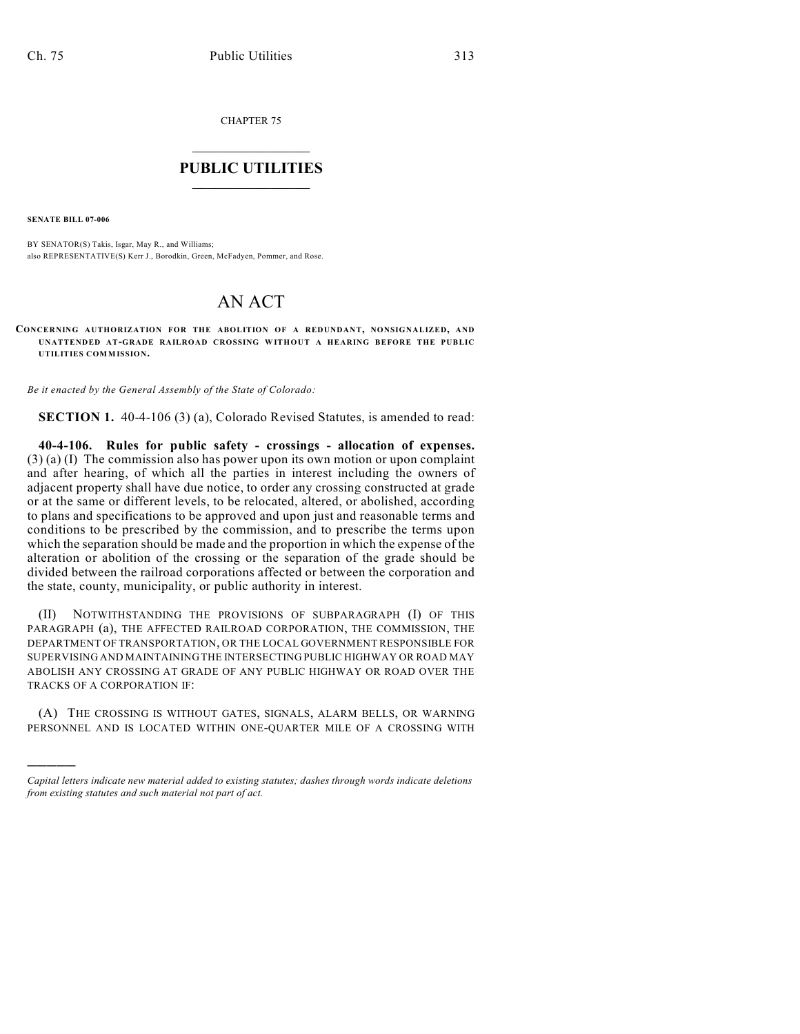CHAPTER 75

## $\overline{\phantom{a}}$  . The set of the set of the set of the set of the set of the set of the set of the set of the set of the set of the set of the set of the set of the set of the set of the set of the set of the set of the set o **PUBLIC UTILITIES** \_\_\_\_\_\_\_\_\_\_\_\_\_\_\_

**SENATE BILL 07-006**

)))))

BY SENATOR(S) Takis, Isgar, May R., and Williams; also REPRESENTATIVE(S) Kerr J., Borodkin, Green, McFadyen, Pommer, and Rose.

## AN ACT

**CONCERNING AUTHORIZATION FOR THE ABOLITION OF A REDUNDANT, NONSIGNALIZED, AND UNATTENDED AT-GRADE RAILROAD CROSSING WITHOUT A HEARING BEFORE THE PUBLIC UTILITIES COMMISSION.**

*Be it enacted by the General Assembly of the State of Colorado:*

**SECTION 1.** 40-4-106 (3) (a), Colorado Revised Statutes, is amended to read:

**40-4-106. Rules for public safety - crossings - allocation of expenses.** (3) (a) (I) The commission also has power upon its own motion or upon complaint and after hearing, of which all the parties in interest including the owners of adjacent property shall have due notice, to order any crossing constructed at grade or at the same or different levels, to be relocated, altered, or abolished, according to plans and specifications to be approved and upon just and reasonable terms and conditions to be prescribed by the commission, and to prescribe the terms upon which the separation should be made and the proportion in which the expense of the alteration or abolition of the crossing or the separation of the grade should be divided between the railroad corporations affected or between the corporation and the state, county, municipality, or public authority in interest.

(II) NOTWITHSTANDING THE PROVISIONS OF SUBPARAGRAPH (I) OF THIS PARAGRAPH (a), THE AFFECTED RAILROAD CORPORATION, THE COMMISSION, THE DEPARTMENT OF TRANSPORTATION, OR THE LOCAL GOVERNMENT RESPONSIBLE FOR SUPERVISING AND MAINTAINING THE INTERSECTING PUBLIC HIGHWAY OR ROAD MAY ABOLISH ANY CROSSING AT GRADE OF ANY PUBLIC HIGHWAY OR ROAD OVER THE TRACKS OF A CORPORATION IF:

(A) THE CROSSING IS WITHOUT GATES, SIGNALS, ALARM BELLS, OR WARNING PERSONNEL AND IS LOCATED WITHIN ONE-QUARTER MILE OF A CROSSING WITH

*Capital letters indicate new material added to existing statutes; dashes through words indicate deletions from existing statutes and such material not part of act.*